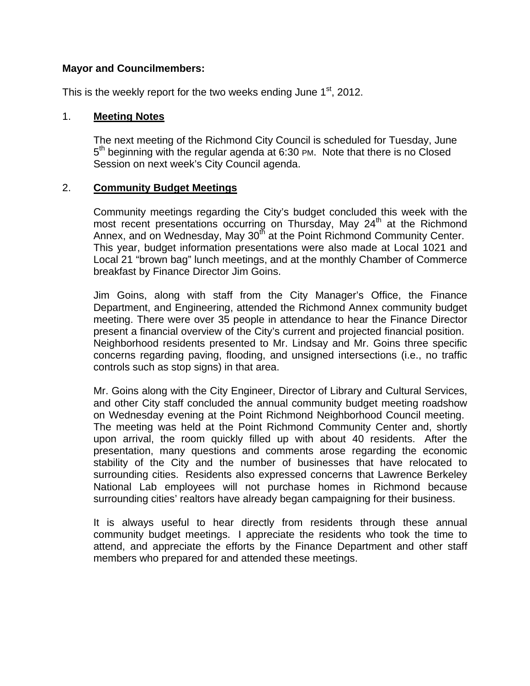#### **Mayor and Councilmembers:**

This is the weekly report for the two weeks ending June  $1<sup>st</sup>$ , 2012.

#### 1. **Meeting Notes**

The next meeting of the Richmond City Council is scheduled for Tuesday, June  $5<sup>th</sup>$  beginning with the regular agenda at 6:30 PM. Note that there is no Closed Session on next week's City Council agenda.

#### 2. **Community Budget Meetings**

Community meetings regarding the City's budget concluded this week with the most recent presentations occurring on Thursday, May  $24<sup>th</sup>$  at the Richmond Annex, and on Wednesday, May 30<sup>th</sup> at the Point Richmond Community Center. This year, budget information presentations were also made at Local 1021 and Local 21 "brown bag" lunch meetings, and at the monthly Chamber of Commerce breakfast by Finance Director Jim Goins.

Jim Goins, along with staff from the City Manager's Office, the Finance Department, and Engineering, attended the Richmond Annex community budget meeting. There were over 35 people in attendance to hear the Finance Director present a financial overview of the City's current and projected financial position. Neighborhood residents presented to Mr. Lindsay and Mr. Goins three specific concerns regarding paving, flooding, and unsigned intersections (i.e., no traffic controls such as stop signs) in that area.

Mr. Goins along with the City Engineer, Director of Library and Cultural Services, and other City staff concluded the annual community budget meeting roadshow on Wednesday evening at the Point Richmond Neighborhood Council meeting. The meeting was held at the Point Richmond Community Center and, shortly upon arrival, the room quickly filled up with about 40 residents. After the presentation, many questions and comments arose regarding the economic stability of the City and the number of businesses that have relocated to surrounding cities. Residents also expressed concerns that Lawrence Berkeley National Lab employees will not purchase homes in Richmond because surrounding cities' realtors have already began campaigning for their business.

It is always useful to hear directly from residents through these annual community budget meetings. I appreciate the residents who took the time to attend, and appreciate the efforts by the Finance Department and other staff members who prepared for and attended these meetings.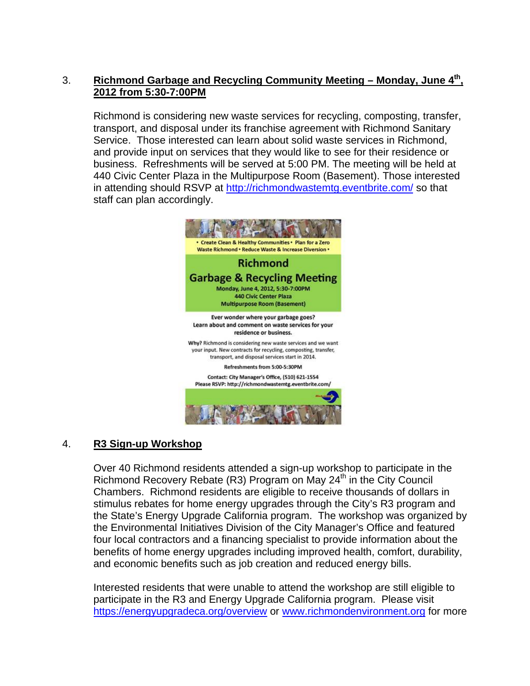## 3. **Richmond Garbage and Recycling Community Meeting – Monday, June 4th, 2012 from 5:30-7:00PM**

Richmond is considering new waste services for recycling, composting, transfer, transport, and disposal under its franchise agreement with Richmond Sanitary Service. Those interested can learn about solid waste services in Richmond, and provide input on services that they would like to see for their residence or business. Refreshments will be served at 5:00 PM. The meeting will be held at 440 Civic Center Plaza in the Multipurpose Room (Basement). Those interested in attending should RSVP at<http://richmondwastemtg.eventbrite.com/>so that staff can plan accordingly.



## 4. **R3 Sign-up Workshop**

Over 40 Richmond residents attended a sign-up workshop to participate in the Richmond Recovery Rebate (R3) Program on May 24<sup>th</sup> in the City Council Chambers. Richmond residents are eligible to receive thousands of dollars in stimulus rebates for home energy upgrades through the City's R3 program and the State's Energy Upgrade California program. The workshop was organized by the Environmental Initiatives Division of the City Manager's Office and featured four local contractors and a financing specialist to provide information about the benefits of home energy upgrades including improved health, comfort, durability, and economic benefits such as job creation and reduced energy bills.

Interested residents that were unable to attend the workshop are still eligible to participate in the R3 and Energy Upgrade California program. Please visit <https://energyupgradeca.org/overview>or [www.richmondenvironment.org](http://www.richmondenvironment.org/) for more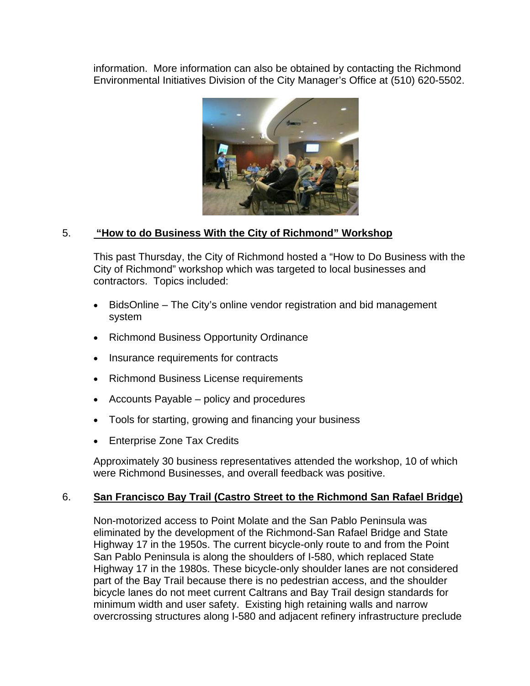information. More information can also be obtained by contacting the Richmond Environmental Initiatives Division of the City Manager's Office at (510) 620-5502.



## 5. **"How to do Business With the City of Richmond" Workshop**

This past Thursday, the City of Richmond hosted a "How to Do Business with the City of Richmond" workshop which was targeted to local businesses and contractors. Topics included:

- BidsOnline The City's online vendor registration and bid management system
- Richmond Business Opportunity Ordinance
- Insurance requirements for contracts
- Richmond Business License requirements
- Accounts Payable policy and procedures
- Tools for starting, growing and financing your business
- Enterprise Zone Tax Credits

Approximately 30 business representatives attended the workshop, 10 of which were Richmond Businesses, and overall feedback was positive.

## 6. **San Francisco Bay Trail (Castro Street to the Richmond San Rafael Bridge)**

Non-motorized access to Point Molate and the San Pablo Peninsula was eliminated by the development of the Richmond-San Rafael Bridge and State Highway 17 in the 1950s. The current bicycle-only route to and from the Point San Pablo Peninsula is along the shoulders of I-580, which replaced State Highway 17 in the 1980s. These bicycle-only shoulder lanes are not considered part of the Bay Trail because there is no pedestrian access, and the shoulder bicycle lanes do not meet current Caltrans and Bay Trail design standards for minimum width and user safety. Existing high retaining walls and narrow overcrossing structures along I-580 and adjacent refinery infrastructure preclude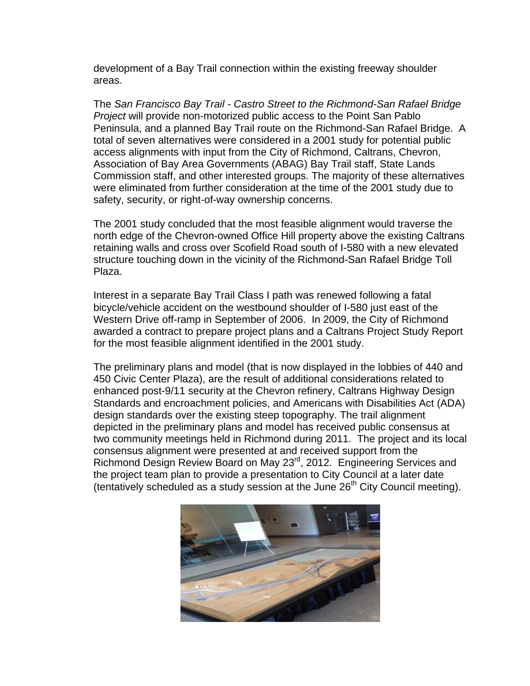development of a Bay Trail connection within the existing freeway shoulder areas.

The *San Francisco Bay Trail - Castro Street to the Richmond-San Rafael Bridge Project* will provide non-motorized public access to the Point San Pablo Peninsula, and a planned Bay Trail route on the Richmond-San Rafael Bridge. A total of seven alternatives were considered in a 2001 study for potential public access alignments with input from the City of Richmond, Caltrans, Chevron, Association of Bay Area Governments (ABAG) Bay Trail staff, State Lands Commission staff, and other interested groups. The majority of these alternatives were eliminated from further consideration at the time of the 2001 study due to safety, security, or right-of-way ownership concerns.

The 2001 study concluded that the most feasible alignment would traverse the north edge of the Chevron-owned Office Hill property above the existing Caltrans retaining walls and cross over Scofield Road south of I-580 with a new elevated structure touching down in the vicinity of the Richmond-San Rafael Bridge Toll Plaza.

Interest in a separate Bay Trail Class I path was renewed following a fatal bicycle/vehicle accident on the westbound shoulder of I-580 just east of the Western Drive off-ramp in September of 2006. In 2009, the City of Richmond awarded a contract to prepare project plans and a Caltrans Project Study Report for the most feasible alignment identified in the 2001 study.

The preliminary plans and model (that is now displayed in the lobbies of 440 and 450 Civic Center Plaza), are the result of additional considerations related to enhanced post-9/11 security at the Chevron refinery, Caltrans Highway Design Standards and encroachment policies, and Americans with Disabilities Act (ADA) design standards over the existing steep topography. The trail alignment depicted in the preliminary plans and model has received public consensus at two community meetings held in Richmond during 2011. The project and its local consensus alignment were presented at and received support from the Richmond Design Review Board on May 23rd, 2012. Engineering Services and the project team plan to provide a presentation to City Council at a later date (tentatively scheduled as a study session at the June  $26<sup>th</sup>$  City Council meeting).

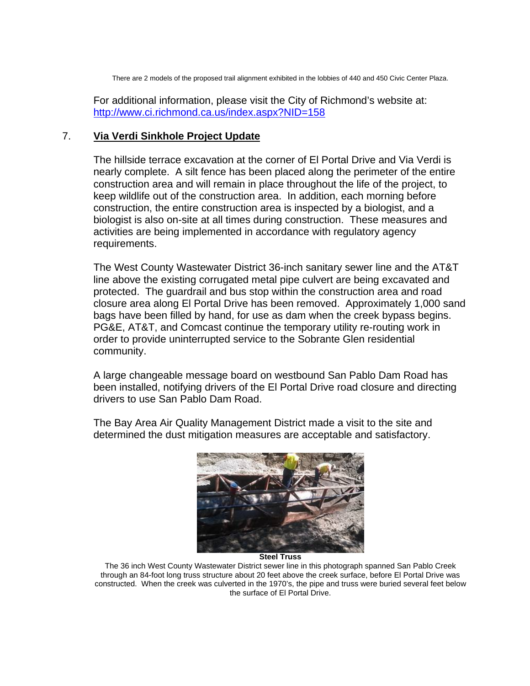There are 2 models of the proposed trail alignment exhibited in the lobbies of 440 and 450 Civic Center Plaza.

For additional information, please visit the City of Richmond's website at: <http://www.ci.richmond.ca.us/index.aspx?NID=158>

#### 7. **Via Verdi Sinkhole Project Update**

The hillside terrace excavation at the corner of El Portal Drive and Via Verdi is nearly complete. A silt fence has been placed along the perimeter of the entire construction area and will remain in place throughout the life of the project, to keep wildlife out of the construction area. In addition, each morning before construction, the entire construction area is inspected by a biologist, and a biologist is also on-site at all times during construction. These measures and activities are being implemented in accordance with regulatory agency requirements.

The West County Wastewater District 36-inch sanitary sewer line and the AT&T line above the existing corrugated metal pipe culvert are being excavated and protected. The guardrail and bus stop within the construction area and road closure area along El Portal Drive has been removed. Approximately 1,000 sand bags have been filled by hand, for use as dam when the creek bypass begins. PG&E, AT&T, and Comcast continue the temporary utility re-routing work in order to provide uninterrupted service to the Sobrante Glen residential community.

A large changeable message board on westbound San Pablo Dam Road has been installed, notifying drivers of the El Portal Drive road closure and directing drivers to use San Pablo Dam Road.

The Bay Area Air Quality Management District made a visit to the site and determined the dust mitigation measures are acceptable and satisfactory.



**Steel Truss** 

The 36 inch West County Wastewater District sewer line in this photograph spanned San Pablo Creek through an 84-foot long truss structure about 20 feet above the creek surface, before El Portal Drive was constructed. When the creek was culverted in the 1970's, the pipe and truss were buried several feet below the surface of El Portal Drive.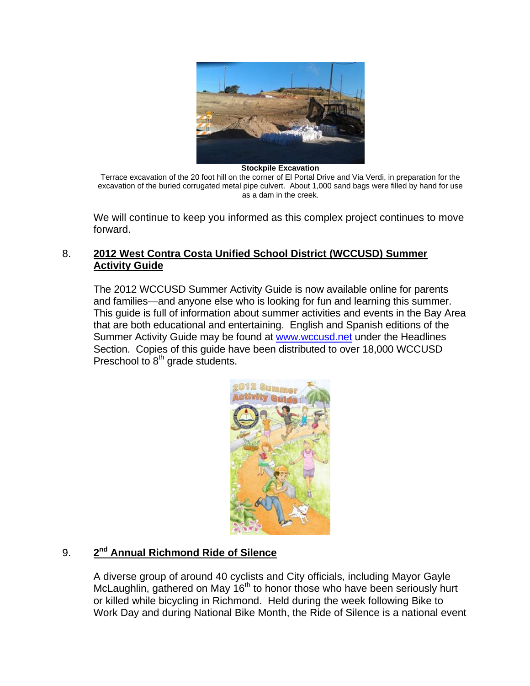

**Stockpile Excavation** 

Terrace excavation of the 20 foot hill on the corner of El Portal Drive and Via Verdi, in preparation for the excavation of the buried corrugated metal pipe culvert. About 1,000 sand bags were filled by hand for use as a dam in the creek.

We will continue to keep you informed as this complex project continues to move forward.

#### 8. **2012 West Contra Costa Unified School District (WCCUSD) Summer Activity Guide**

The 2012 WCCUSD Summer Activity Guide is now available online for parents and families—and anyone else who is looking for fun and learning this summer. This guide is full of information about summer activities and events in the Bay Area that are both educational and entertaining. [English](http://www.wccusd.net/cms/lib03/CA01001466/Centricity/domain/1/headlines/2012%20wccusd%20summer%20activity%20guide%20english.pdf) and [Spanish](http://www.wccusd.net/cms/lib03/CA01001466/Centricity/domain/1/headlines/2012%20wccusd%20summer%20activity%20guide%20spanish.pdf) editions of the Summer Activity Guide may be found at [www.wccusd.net](http://www.wccusd.net/) under the Headlines Section. Copies of this guide have been distributed to over 18,000 WCCUSD Preschool to 8<sup>th</sup> grade students.



# 9. **2nd Annual Richmond Ride of Silence**

A diverse group of around 40 cyclists and City officials, including Mayor Gayle McLaughlin, gathered on May 16<sup>th</sup> to honor those who have been seriously hurt or killed while bicycling in Richmond. Held during the week following Bike to Work Day and during National Bike Month, the Ride of Silence is a national event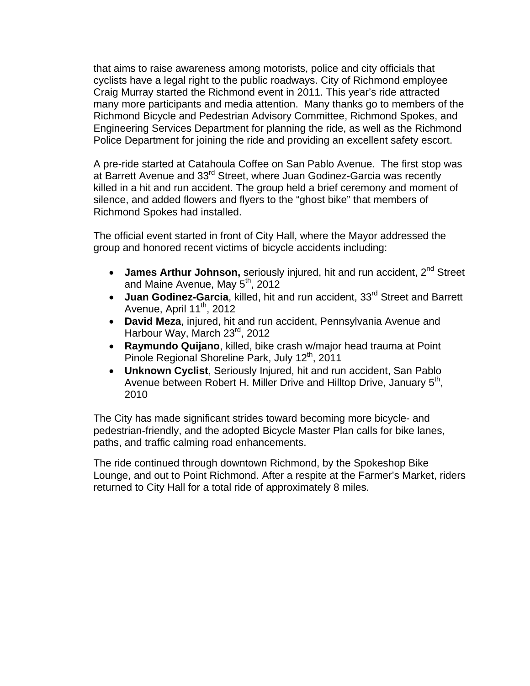that aims to raise awareness among motorists, police and city officials that cyclists have a legal right to the public roadways. City of Richmond employee Craig Murray started the Richmond event in 2011. This year's ride attracted many more participants and media attention. Many thanks go to members of the Richmond Bicycle and Pedestrian Advisory Committee, Richmond Spokes, and Engineering Services Department for planning the ride, as well as the Richmond Police Department for joining the ride and providing an excellent safety escort.

A pre-ride started at Catahoula Coffee on San Pablo Avenue. The first stop was at Barrett Avenue and 33<sup>rd</sup> Street, where Juan Godinez-Garcia was recently killed in a hit and run accident. The group held a brief ceremony and moment of silence, and added flowers and flyers to the "ghost bike" that members of Richmond Spokes had installed.

The official event started in front of City Hall, where the Mayor addressed the group and honored recent victims of bicycle accidents including:

- James Arthur Johnson, seriously injured, hit and run accident, 2<sup>nd</sup> Street and Maine Avenue, May 5<sup>th</sup>, 2012
- Juan Godinez-Garcia, killed, hit and run accident, 33<sup>rd</sup> Street and Barrett Avenue, April  $11^{th}$ , 2012
- **David Meza**, injured, hit and run accident, Pennsylvania Avenue and Harbour Way, March 23<sup>rd</sup>, 2012
- **Raymundo Quijano**, killed, bike crash w/major head trauma at Point Pinole Regional Shoreline Park, July 12<sup>th</sup>, 2011
- **Unknown Cyclist**, Seriously Injured, hit and run accident, San Pablo Avenue between Robert H. Miller Drive and Hilltop Drive, January 5<sup>th</sup>, 2010

The City has made significant strides toward becoming more bicycle- and pedestrian-friendly, and the adopted Bicycle Master Plan calls for bike lanes, paths, and traffic calming road enhancements.

The ride continued through downtown Richmond, by the Spokeshop Bike Lounge, and out to Point Richmond. After a respite at the Farmer's Market, riders returned to City Hall for a total ride of approximately 8 miles.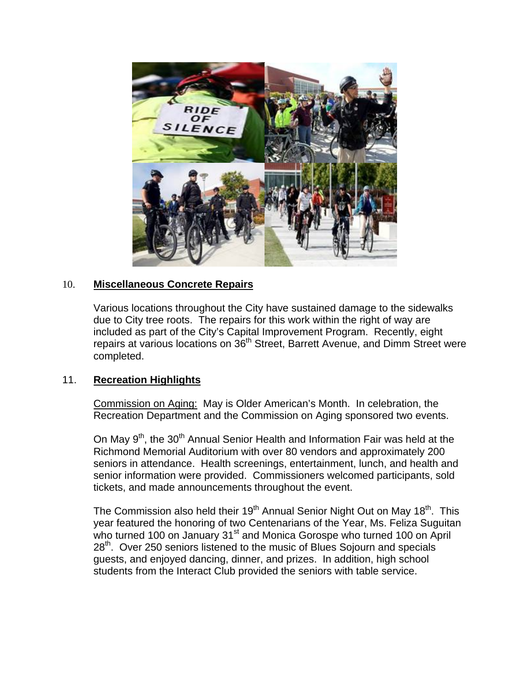

#### 10. **Miscellaneous Concrete Repairs**

Various locations throughout the City have sustained damage to the sidewalks due to City tree roots. The repairs for this work within the right of way are included as part of the City's Capital Improvement Program. Recently, eight repairs at various locations on 36<sup>th</sup> Street, Barrett Avenue, and Dimm Street were completed.

#### 11. **Recreation Highlights**

Commission on Aging: May is Older American's Month. In celebration, the Recreation Department and the Commission on Aging sponsored two events.

On May  $9<sup>th</sup>$ , the 30<sup>th</sup> Annual Senior Health and Information Fair was held at the Richmond Memorial Auditorium with over 80 vendors and approximately 200 seniors in attendance. Health screenings, entertainment, lunch, and health and senior information were provided. Commissioners welcomed participants, sold tickets, and made announcements throughout the event.

The Commission also held their  $19<sup>th</sup>$  Annual Senior Night Out on May  $18<sup>th</sup>$ . This year featured the honoring of two Centenarians of the Year, Ms. Feliza Suguitan who turned 100 on January 31<sup>st</sup> and Monica Gorospe who turned 100 on April 28<sup>th</sup>. Over 250 seniors listened to the music of Blues Sojourn and specials guests, and enjoyed dancing, dinner, and prizes. In addition, high school students from the Interact Club provided the seniors with table service.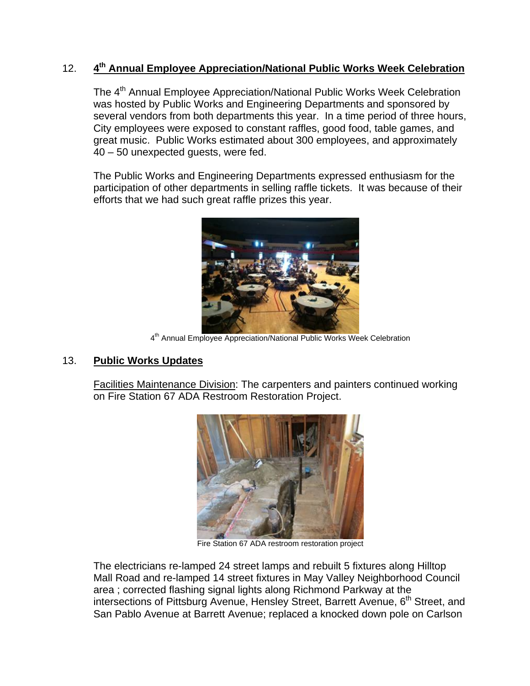# 12. **4th Annual Employee Appreciation/National Public Works Week Celebration**

The 4<sup>th</sup> Annual Employee Appreciation/National Public Works Week Celebration was hosted by Public Works and Engineering Departments and sponsored by several vendors from both departments this year. In a time period of three hours, City employees were exposed to constant raffles, good food, table games, and great music. Public Works estimated about 300 employees, and approximately 40 – 50 unexpected guests, were fed.

The Public Works and Engineering Departments expressed enthusiasm for the participation of other departments in selling raffle tickets. It was because of their efforts that we had such great raffle prizes this year.



4<sup>th</sup> Annual Employee Appreciation/National Public Works Week Celebration

## 13. **Public Works Updates**

Facilities Maintenance Division: The carpenters and painters continued working on Fire Station 67 ADA Restroom Restoration Project.



Fire Station 67 ADA restroom restoration project

The electricians re-lamped 24 street lamps and rebuilt 5 fixtures along Hilltop Mall Road and re-lamped 14 street fixtures in May Valley Neighborhood Council area ; corrected flashing signal lights along Richmond Parkway at the intersections of Pittsburg Avenue, Hensley Street, Barrett Avenue, 6<sup>th</sup> Street, and San Pablo Avenue at Barrett Avenue; replaced a knocked down pole on Carlson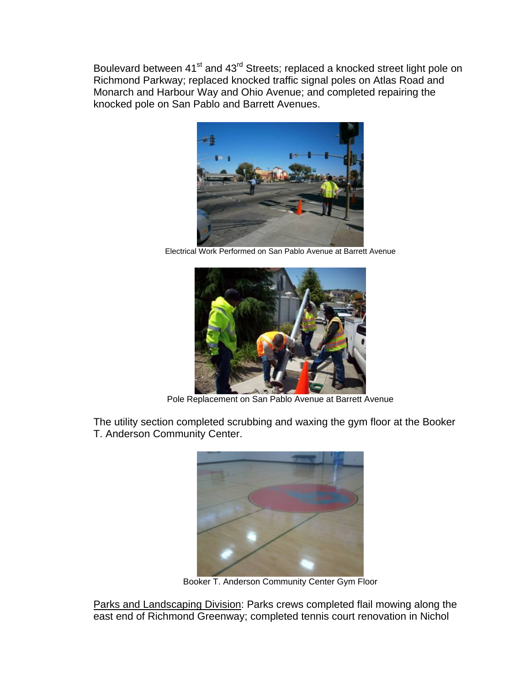Boulevard between 41<sup>st</sup> and 43<sup>rd</sup> Streets; replaced a knocked street light pole on Richmond Parkway; replaced knocked traffic signal poles on Atlas Road and Monarch and Harbour Way and Ohio Avenue; and completed repairing the knocked pole on San Pablo and Barrett Avenues.



Electrical Work Performed on San Pablo Avenue at Barrett Avenue



Pole Replacement on San Pablo Avenue at Barrett Avenue

The utility section completed scrubbing and waxing the gym floor at the Booker T. Anderson Community Center.



Booker T. Anderson Community Center Gym Floor

Parks and Landscaping Division: Parks crews completed flail mowing along the east end of Richmond Greenway; completed tennis court renovation in Nichol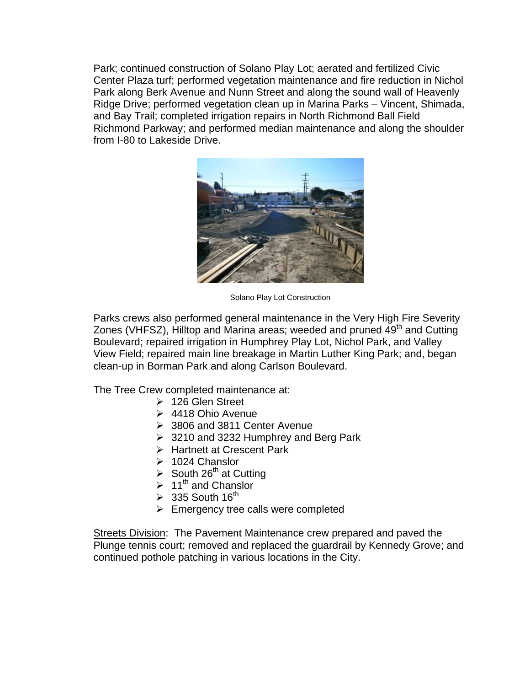Park; continued construction of Solano Play Lot; aerated and fertilized Civic Center Plaza turf; performed vegetation maintenance and fire reduction in Nichol Park along Berk Avenue and Nunn Street and along the sound wall of Heavenly Ridge Drive; performed vegetation clean up in Marina Parks – Vincent, Shimada, and Bay Trail; completed irrigation repairs in North Richmond Ball Field Richmond Parkway; and performed median maintenance and along the shoulder from I-80 to Lakeside Drive.



Solano Play Lot Construction

Parks crews also performed general maintenance in the Very High Fire Severity Zones (VHFSZ), Hilltop and Marina areas; weeded and pruned 49<sup>th</sup> and Cutting Boulevard; repaired irrigation in Humphrey Play Lot, Nichol Park, and Valley View Field; repaired main line breakage in Martin Luther King Park; and, began clean-up in Borman Park and along Carlson Boulevard.

The Tree Crew completed maintenance at:

- $\geq 126$  Glen Street
- $\geq 4418$  Ohio Avenue
- 3806 and 3811 Center Avenue
- $\geq$  3210 and 3232 Humphrey and Berg Park
- > Hartnett at Crescent Park
- $\geq 1024$  Chanslor
- $\triangleright$  South 26<sup>th</sup> at Cutting
- $\geq 11^{\text{th}}$  and Chanslor
- $\triangleright$  335 South 16<sup>th</sup>
- $\triangleright$  Emergency tree calls were completed

Streets Division: The Pavement Maintenance crew prepared and paved the Plunge tennis court; removed and replaced the guardrail by Kennedy Grove; and continued pothole patching in various locations in the City.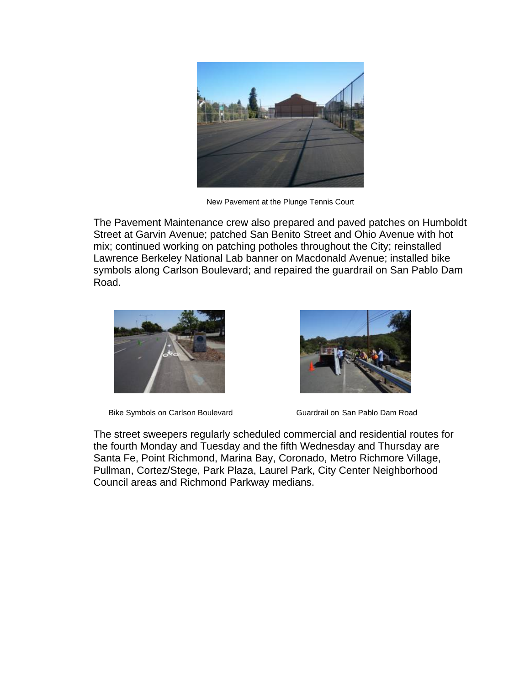

New Pavement at the Plunge Tennis Court

The Pavement Maintenance crew also prepared and paved patches on Humboldt Street at Garvin Avenue; patched San Benito Street and Ohio Avenue with hot mix; continued working on patching potholes throughout the City; reinstalled Lawrence Berkeley National Lab banner on Macdonald Avenue; installed bike symbols along Carlson Boulevard; and repaired the guardrail on San Pablo Dam Road.



Bike Symbols on Carlson Boulevard Guardrail on San Pablo Dam Road



The street sweepers regularly scheduled commercial and residential routes for the fourth Monday and Tuesday and the fifth Wednesday and Thursday are Santa Fe, Point Richmond, Marina Bay, Coronado, Metro Richmore Village, Pullman, Cortez/Stege, Park Plaza, Laurel Park, City Center Neighborhood Council areas and Richmond Parkway medians.